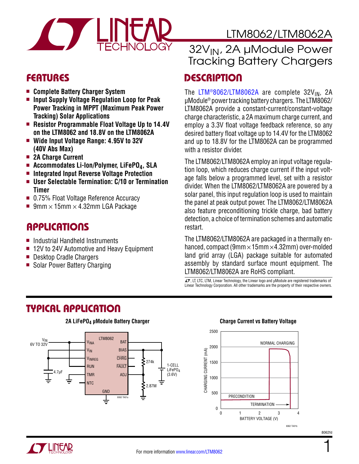

# LTM8062/LTM8062A

- <sup>n</sup> **Complete Battery Charger System**
- **n Input Supply Voltage Regulation Loop for Peak Power Tracking in MPPT (Maximum Peak Power Tracking) Solar Applications**
- <sup>n</sup> **Resistor Programmable Float Voltage Up to 14.4V on the LTM8062 and 18.8V on the LTM8062A**
- $\blacksquare$  Wide Input Voltage Range: 4.95V to 32V **(40V Abs Max)**
- 2A Charge Current
- Accommodates Li-Ion/Polymer, LiFePO<sub>4</sub>, SLA
- Integrated Input Reverse Voltage Protection
- User Selectable Termination: C/10 or Termination **Timer**
- 0.75% Float Voltage Reference Accuracy
- 9mm  $\times$  15mm  $\times$  4.32mm LGA Package

#### Applications

- $\blacksquare$  Industrial Handheld Instruments
- 12V to 24V Automotive and Heavy Equipment
- Desktop Cradle Chargers
- Solar Power Battery Charging

# 32V<sub>IN</sub>, 2A µModule Power Tracking Battery Chargers

#### FEATURES DESCRIPTION

The [LTM®8062/LTM8062A](http://www.linear.com/LTM8062) are complete  $32V_{1N}$ , 2A µModule® power tracking battery chargers. The LTM8062/ LTM8062A provide a constant-current/constant-voltage charge characteristic, a 2A maximum charge current, and employ a 3.3V float voltage feedback reference, so any desired battery float voltage up to 14.4V for the LTM8062 and up to 18.8V for the LTM8062A can be programmed with a resistor divider.

The LTM8062/LTM8062A employ an input voltage regulation loop, which reduces charge current if the input voltage falls below a programmed level, set with a resistor divider. When the LTM8062/LTM8062A are powered by a solar panel, this input regulation loop is used to maintain the panel at peak output power. The LTM8062/LTM8062A also feature preconditioning trickle charge, bad battery detection, a choice of termination schemes and automatic restart.

The LTM8062/LTM8062A are packaged in a thermally enhanced, compact (9mm  $\times$  15mm  $\times$  4.32mm) over-molded land grid array (LGA) package suitable for automated assembly by standard surface mount equipment. The LTM8062/LTM8062A are RoHS compliant.

 $\overline{\mathcal{L}}$ , LT, LTC, LTM, Linear Technology, the Linear logo and  $\mu$ Module are registered trademarks of Linear Technology Corporation. All other trademarks are the property of their respective owners.

### Typical Application



**2A LiFePO4 µModule Battery Charger**

#### **Charge Current vs Battery Voltage**



8062fd

1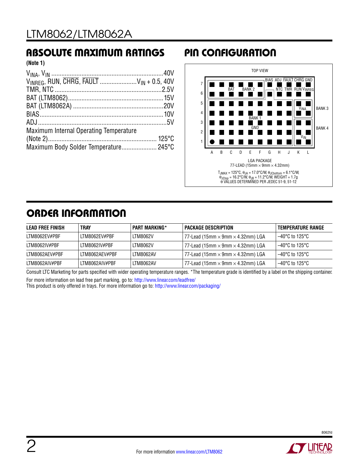### Absolute Maximum Ratings Pin Configuration

**(Note 1)**

| $V_{INREG}$ , RUN, $\overline{CHRG}$ , $\overline{FAULT}$ $V_{IN} + 0.5$ , 40V |  |
|--------------------------------------------------------------------------------|--|
|                                                                                |  |
|                                                                                |  |
|                                                                                |  |
|                                                                                |  |
|                                                                                |  |
| Maximum Internal Operating Temperature                                         |  |
|                                                                                |  |
| Maximum Body Solder Temperature 245°C                                          |  |



# ORDER INFORMATION

| LEAD FREE FINISH | <b>TRAY</b>    | <b>PART MARKING*</b> | PACKAGE DESCRIPTION                             | TEMPERATURE RANGE        |
|------------------|----------------|----------------------|-------------------------------------------------|--------------------------|
| LTM8062EV#PBF    | LTM8062EV#PBF  | <b>LTM8062V</b>      | 77-Lead (15mm $\times$ 9mm $\times$ 4.32mm) LGA | 1–40°C to 125°C          |
| LTM8062IV#PBF    | LTM8062IV#PBF  | <b>LTM8062V</b>      | 77-Lead (15mm $\times$ 9mm $\times$ 4.32mm) LGA | 1–40°C to 125°C          |
| LTM8062AEV#PBF   | LTM8062AEV#PBF | LTM8062AV            | 77-Lead (15mm $\times$ 9mm $\times$ 4.32mm) LGA | 1–40°C to 125°C          |
| LTM8062AIV#PBF   | LTM8062AIV#PBF | LTM8062AV            | 77-Lead (15mm $\times$ 9mm $\times$ 4.32mm) LGA | $-40^{\circ}$ C to 125°C |

Consult LTC Marketing for parts specified with wider operating temperature ranges. \*The temperature grade is identified by a label on the shipping container. For more information on lead free part marking, go to: http://www.linear.com/leadfree/

This product is only offered in trays. For more information go to: http://www.linear.com/packaging/

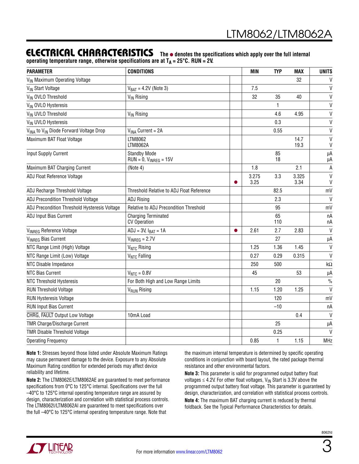#### ELECTRICAL CHARACTERISTICS The  $\bullet$  denotes the specifications which apply over the full internal

operating temperature range, otherwise specifications are at T<sub>A</sub> = 25°C. RUN = 2V.

| <b>PARAMETER</b>                                               | <b>CONDITIONS</b>                                    | <b>MIN</b>    | <b>TYP</b> | <b>MAX</b>    | <b>UNITS</b>                 |
|----------------------------------------------------------------|------------------------------------------------------|---------------|------------|---------------|------------------------------|
| V <sub>IN</sub> Maximum Operating Voltage                      |                                                      |               |            | 32            | $\mathsf{V}$                 |
| V <sub>IN</sub> Start Voltage                                  | $V_{BAT} = 4.2V$ (Note 3)                            | 7.5           |            |               | $\mathsf{V}$                 |
| VIN OVLO Threshold                                             | V <sub>IN</sub> Rising                               | 32            | 35         | 40            | $\mathsf{V}$                 |
| V <sub>IN</sub> OVLO Hysteresis                                |                                                      |               | 1          |               | $\mathsf{V}$                 |
| VIN UVLO Threshold                                             | V <sub>IN</sub> Rising                               |               | 4.6        | 4.95          | $\mathsf{V}$                 |
| V <sub>IN</sub> UVLO Hysteresis                                |                                                      |               | 0.3        |               | $\mathsf{V}$                 |
| V <sub>INA</sub> to V <sub>IN</sub> Diode Forward Voltage Drop | $VINA Current = 2A$                                  |               | 0.55       |               | $\mathsf{V}$                 |
| Maximum BAT Float Voltage                                      | LTM8062<br>LTM8062A                                  |               |            | 14.7<br>19.3  | $\mathsf{V}$<br>$\mathsf{V}$ |
| Input Supply Current                                           | <b>Standby Mode</b><br>$RUN = 0$ , $V_{INREG} = 15V$ |               | 85<br>18   |               | μA<br>μA                     |
| Maximum BAT Charging Current                                   | (Note 4)                                             | 1.8           |            | 2.1           | A                            |
| ADJ Float Reference Voltage                                    |                                                      | 3.275<br>3.25 | 3.3        | 3.325<br>3.34 | $\vee$<br>V                  |
| ADJ Recharge Threshold Voltage                                 | Threshold Relative to ADJ Float Reference            |               | 82.5       |               | mV                           |
| ADJ Precondition Threshold Voltage                             | <b>ADJ Rising</b>                                    |               | 2.3        |               | $\mathsf{V}$                 |
| ADJ Precondition Threshold Hysteresis Voltage                  | Relative to ADJ Precondition Threshold               |               | 95         |               | mV                           |
| ADJ Input Bias Current                                         | <b>Charging Terminated</b><br><b>CV Operation</b>    |               | 65<br>110  |               | nA<br>nA                     |
| VINREG Reference Voltage                                       | $ADJ = 3V$ , $I_{BAT} = 1A$                          | 2.61          | 2.7        | 2.83          | $\vee$                       |
| V <sub>INREG</sub> Bias Current                                | $V_{INREG} = 2.7V$                                   |               | 27         |               | μA                           |
| NTC Range Limit (High) Voltage                                 | V <sub>NTC</sub> Rising                              | 1.25          | 1.36       | 1.45          | $\mathsf{V}$                 |
| NTC Range Limit (Low) Voltage                                  | V <sub>NTC</sub> Falling                             | 0.27          | 0.29       | 0.315         | $\vee$                       |
| NTC Disable Impedance                                          |                                                      | 250           | 500        |               | $k\Omega$                    |
| <b>NTC Bias Current</b>                                        | $V_{NTC} = 0.8V$                                     | 45            |            | 53            | μA                           |
| <b>NTC Threshold Hysteresis</b>                                | For Both High and Low Range Limits                   |               | 20         |               | $\frac{0}{0}$                |
| <b>RUN Threshold Voltage</b>                                   | <b>V<sub>RUN</sub></b> Rising                        | 1.15          | 1.20       | 1.25          | $\vee$                       |
| <b>RUN Hysteresis Voltage</b>                                  |                                                      |               | 120        |               | mV                           |
| <b>RUN Input Bias Current</b>                                  |                                                      |               | $-10$      |               | nA                           |
| CHRG, FAULT Output Low Voltage                                 | 10mA Load                                            |               |            | 0.4           | $\vee$                       |
| <b>TMR Charge/Discharge Current</b>                            |                                                      |               | 25         |               | μA                           |
| <b>TMR Disable Threshold Voltage</b>                           |                                                      |               | 0.25       |               | $\mathsf{V}$                 |
| <b>Operating Frequency</b>                                     |                                                      | 0.85          | 1          | 1.15          | MHz                          |

**Note 1:** Stresses beyond those listed under Absolute Maximum Ratings may cause permanent damage to the device. Exposure to any Absolute Maximum Rating condition for extended periods may affect device reliability and lifetime.

**Note 2:** The LTM8062E/LTM8062AE are guaranteed to meet performance specifications from 0°C to 125°C internal. Specifications over the full –40°C to 125°C internal operating temperature range are assured by design, characterization and correlation with statistical process controls. The LTM8062I/LTM8062AI are guaranteed to meet specifications over the full –40°C to 125°C internal operating temperature range. Note that

the maximum internal temperature is determined by specific operating conditions in conjunction with board layout, the rated package thermal resistance and other environmental factors.

**Note 3:** This parameter is valid for programmed output battery float voltages  $\leq$  4.2V. For other float voltages, V<sub>IN</sub> Start is 3.3V above the programmed output battery float voltage. This parameter is guaranteed by design, characterization, and correlation with statistical process controls.

**Note 4:** The maximum BAT charging current is reduced by thermal foldback. See the Typical Performance Characteristics for details.

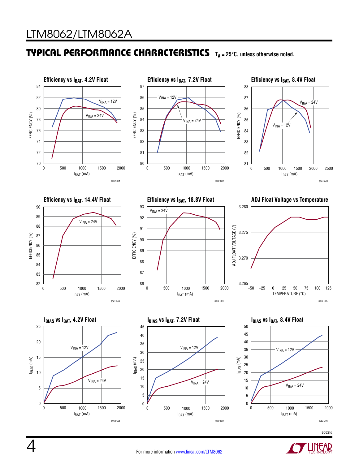### TYPICAL PERFORMANCE CHARACTERISTICS TA=25°C, unless otherwise noted.



**LINEAR** 

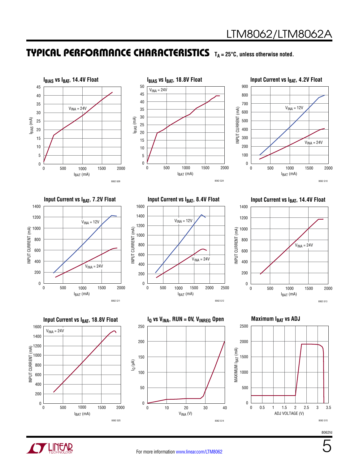#### TYPICAL PERFORMANCE CHARACTERISTICS TA=25°C, unless otherwise noted.





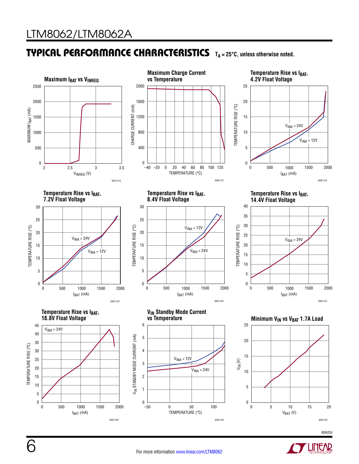### TYPICAL PERFORMANCE CHARACTERISTICS TA=25°C, unless otherwise noted.



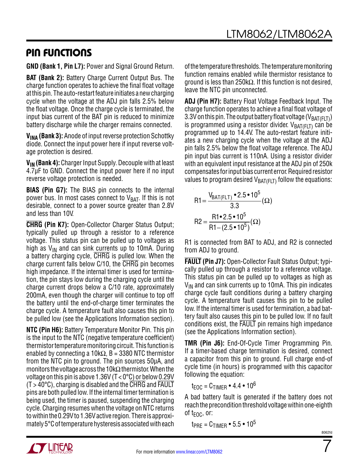### Pin Functions

**GND (Bank 1, Pin L7):** Power and Signal Ground Return.

**BAT (Bank 2):** Battery Charge Current Output Bus. The charge function operates to achieve the final float voltage at this pin. The auto-restart feature initiates a new charging cycle when the voltage at the ADJ pin falls 2.5% below the float voltage. Once the charge cycle is terminated, the input bias current of the BAT pin is reduced to minimize battery discharge while the charger remains connected.

**V<sub>INA</sub> (Bank 3):** Anode of input reverse protection Schottky diode. Connect the input power here if input reverse voltage protection is desired.

**VIN (Bank 4):** Charger Input Supply. Decouple with at least 4.7µF to GND. Connect the input power here if no input reverse voltage protection is needed.

**BIAS (Pin G7):** The BIAS pin connects to the internal power bus. In most cases connect to  $V_{BAT}$ . If this is not desirable, connect to a power source greater than 2.8V and less than 10V.

**CHRG (Pin K7):** Open-Collector Charger Status Output; typically pulled up through a resistor to a reference voltage. This status pin can be pulled up to voltages as high as  $V_{IN}$  and can sink currents up to 10mA. During a battery charging cycle, CHRG is pulled low. When the charge current falls below C/10, the CHRG pin becomes high impedance. If the internal timer is used for termination, the pin stays low during the charging cycle until the charge current drops below a C/10 rate, approximately 200mA, even though the charger will continue to top off the battery until the end-of-charge timer terminates the charge cycle. A temperature fault also causes this pin to be pulled low (see the Applications Information section).

**NTC (Pin H6):** Battery Temperature Monitor Pin. This pin is the input to the NTC (negative temperature coefficient) thermistor temperature monitoring circuit. This function is enabled by connecting a 10k $\Omega$ , B = 3380 NTC thermistor from the NTC pin to ground. The pin sources 50μA, and monitors the voltage across the 10kΩ thermistor. When the voltage on this pin is above 1.36V ( $T < 0^{\circ}$ C) or below 0.29V  $(T > 40^{\circ}$ C), charging is disabled and the CHRG and FAULT pins are both pulled low. If the internal timer termination is being used, the timer is paused, suspending the charging cycle. Charging resumes when the voltage on NTC returns to within the 0.29V to 1.36V active region. There is approximately 5°C of temperature hysteresis associated with each of the temperature thresholds. The temperature monitoring function remains enabled while thermistor resistance to ground is less than 250kΩ. If this function is not desired, leave the NTC pin unconnected.

**ADJ (Pin H7):** Battery Float Voltage Feedback Input. The charge function operates to achieve a final float voltage of 3.3V on this pin. The output battery float voltage ( $V_{BAT(FIT)}$ ) is programmed using a resistor divider.  $V_{BAT(FLT)}$  can be programmed up to 14.4V. The auto-restart feature initiates a new charging cycle when the voltage at the ADJ pin falls 2.5% below the float voltage reference. The ADJ pin input bias current is 110nA. Using a resistor divider with an equivalent input resistance at the ADJ pin of 250k compensates for input bias current error. Required resistor values to program desired  $V_{BAT(FLT)}$  follow the equations:

$$
R1 = \frac{V_{BAT(FLT)} \cdot 2.5 \cdot 10^5}{3.3} (\Omega)
$$

$$
R2 = \frac{R1 \cdot 2.5 \cdot 10^5}{R1 - (2.5 \cdot 10^5)} (\Omega)
$$

R1 is connected from BAT to ADJ, and R2 is connected from ADJ to ground.

**FAULT (Pin J7):** Open-Collector Fault Status Output; typically pulled up through a resistor to a reference voltage. This status pin can be pulled up to voltages as high as  $V_{IN}$  and can sink currents up to 10mA. This pin indicates charge cycle fault conditions during a battery charging cycle. A temperature fault causes this pin to be pulled low. If the internal timer is used for termination, a bad battery fault also causes this pin to be pulled low. If no fault conditions exist, the FAULT pin remains high impedance (see the Applications Information section).

**TMR (Pin J6):** End-Of-Cycle Timer Programming Pin. If a timer-based charge termination is desired, connect a capacitor from this pin to ground. Full charge end-of cycle time (in hours) is programmed with this capacitor following the equation:

 $t_{FOC} = C_{TIMER} \cdot 4.4 \cdot 10^6$ 

A bad battery fault is generated if the battery does not reach the precondition threshold voltage within one-eighth of  $t_{\text{FOC}}$ , or:

 $t_{PRE} = C_{TIMER} \cdot 5.5 \cdot 10^5$ 



7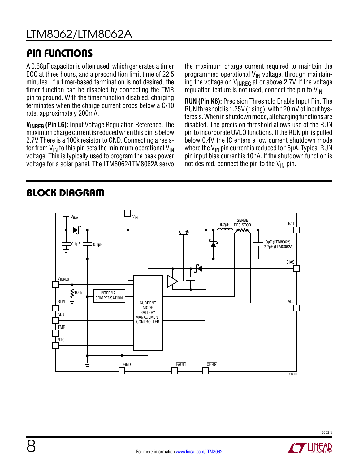# Pin Functions

A 0.68μF capacitor is often used, which generates a timer EOC at three hours, and a precondition limit time of 22.5 minutes. If a timer-based termination is not desired, the timer function can be disabled by connecting the TMR pin to ground. With the timer function disabled, charging terminates when the charge current drops below a C/10 rate, approximately 200mA.

**VINREG (Pin L6):** Input Voltage Regulation Reference. The maximum charge current is reduced when this pin is below 2.7V. There is a 100k resistor to GND. Connecting a resistor from  $V_{IN}$  to this pin sets the minimum operational  $V_{IN}$ voltage. This is typically used to program the peak power voltage for a solar panel. The LTM8062/LTM8062A servo the maximum charge current required to maintain the programmed operational  $V_{IN}$  voltage, through maintaining the voltage on  $V_{\text{INREG}}$  at or above 2.7V. If the voltage regulation feature is not used, connect the pin to  $V_{\text{IN}}$ .

**RUN (Pin K6):** Precision Threshold Enable Input Pin. The RUN threshold is 1.25V (rising), with 120mV of input hysteresis. When in shutdown mode, all charging functions are disabled. The precision threshold allows use of the RUN pin to incorporate UVLO functions. If the RUN pin is pulled below 0.4V, the IC enters a low current shutdown mode where the  $V_{IN}$  pin current is reduced to 15 $\mu$ A. Typical RUN pin input bias current is 10nA. If the shutdown function is not desired, connect the pin to the  $V_{IN}$  pin.



## Block Diagram

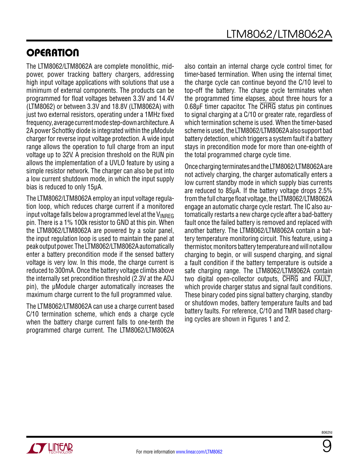# **OPERATION**

The LTM8062/LTM8062A are complete monolithic, midpower, power tracking battery chargers, addressing high input voltage applications with solutions that use a minimum of external components. The products can be programmed for float voltages between 3.3V and 14.4V (LTM8062) or between 3.3V and 18.8V (LTM8062A) with just two external resistors, operating under a 1MHz fixed frequency, average current mode step-down architecture. A 2A power Schottky diode is integrated within the μModule charger for reverse input voltage protection. A wide input range allows the operation to full charge from an input voltage up to 32V. A precision threshold on the RUN pin allows the implementation of a UVLO feature by using a simple resistor network. The charger can also be put into a low current shutdown mode, in which the input supply bias is reduced to only 15μA.

The LTM8062/LTM8062A employ an input voltage regulation loop, which reduces charge current if a monitored input voltage falls below a programmed level at the  $V_{\text{INRFG}}$ pin. There is a 1% 100k resistor to GND at this pin. When the LTM8062/LTM8062A are powered by a solar panel, the input regulation loop is used to maintain the panel at peak output power. The LTM8062/LTM8062A automatically enter a battery precondition mode if the sensed battery voltage is very low. In this mode, the charge current is reduced to 300mA. Once the battery voltage climbs above the internally set precondition threshold (2.3V at the ADJ pin), the μModule charger automatically increases the maximum charge current to the full programmed value.

The LTM8062/LTM8062A can use a charge current based C/10 termination scheme, which ends a charge cycle when the battery charge current falls to one-tenth the programmed charge current. The LTM8062/LTM8062A also contain an internal charge cycle control timer, for timer-based termination. When using the internal timer, the charge cycle can continue beyond the C/10 level to top-off the battery. The charge cycle terminates when the programmed time elapses, about three hours for a 0.68µF timer capacitor. The CHRG status pin continues to signal charging at a C/10 or greater rate, regardless of which termination scheme is used. When the timer-based scheme is used, the LTM8062/LTM8062A also support bad battery detection, which triggers a system fault if a battery stays in precondition mode for more than one-eighth of the total programmed charge cycle time.

Once charging terminates and the LTM8062/LTM8062A are not actively charging, the charger automatically enters a low current standby mode in which supply bias currents are reduced to 85μA. If the battery voltage drops 2.5% from the full charge float voltage, the LTM8062/LTM8062A engage an automatic charge cycle restart. The IC also automatically restarts a new charge cycle after a bad-battery fault once the failed battery is removed and replaced with another battery. The LTM8062/LTM8062A contain a battery temperature monitoring circuit. This feature, using a thermistor, monitors battery temperature and will not allow charging to begin, or will suspend charging, and signal a fault condition if the battery temperature is outside a safe charging range. The LTM8062/LTM8062A contain two digital open-collector outputs, CHRG and FAULT, which provide charger status and signal fault conditions. These binary coded pins signal battery charging, standby or shutdown modes, battery temperature faults and bad battery faults. For reference, C/10 and TMR based charging cycles are shown in Figures 1 and 2.



9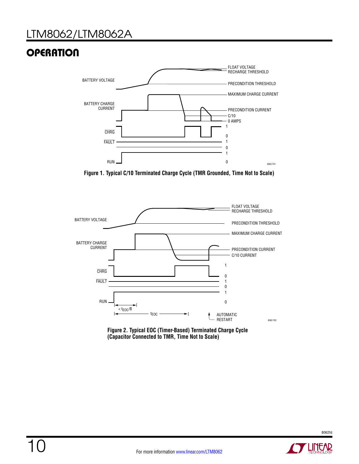# LTM8062/LTM8062A

# **OPERATION**



**Figure 1. Typical C/10 Terminated Charge Cycle (TMR Grounded, Time Not to Scale)**



**Figure 2. Typical EOC (Timer-Based) Terminated Charge Cycle (Capacitor Connected to TMR, Time Not to Scale)**

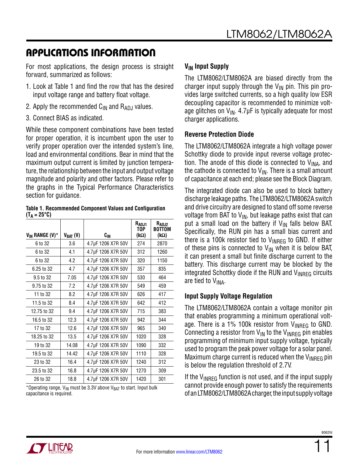For most applications, the design process is straight forward, summarized as follows:

- 1. Look at Table 1 and find the row that has the desired input voltage range and battery float voltage.
- 2. Apply the recommended  $C_{IN}$  and  $R_{AD,I}$  values.
- 3. Connect BIAS as indicated.

While these component combinations have been tested for proper operation, it is incumbent upon the user to verify proper operation over the intended system's line, load and environmental conditions. Bear in mind that the maximum output current is limited by junction temperature, the relationship between the input and output voltage magnitude and polarity and other factors. Please refer to the graphs in the Typical Performance Characteristics section for guidance.

#### **Table 1. Recommended Component Values and Configuration**   $(T_A = 25^{\circ}C)$

| V <sub>IN</sub> RANGE (V)* | $V_{BAT} (V)$ | $c_{\rm IN}$       | R <sub>ADJ1</sub><br>TOP.<br>$(k\Omega)$ | R <sub>ADJ2</sub><br>BOTTOM<br>$(k\Omega)$ |
|----------------------------|---------------|--------------------|------------------------------------------|--------------------------------------------|
| 6 to 32                    | 3.6           | 4.7µF 1206 X7R 50V | 274                                      | 2870                                       |
| 6 to 32                    | 4.1           | 4.7µF 1206 X7R 50V | 312                                      | 1260                                       |
| 6 to 32                    | 4.2           | 4.7µF 1206 X7R 50V | 320                                      | 1150                                       |
| 6.25 to 32                 | 4.7           | 4.7µF 1206 X7R 50V | 357                                      | 835                                        |
| 9.5 to 32                  | 7.05          | 4.7µF 1206 X7R 50V | 530                                      | 464                                        |
| 9.75 to 32                 | 7.2           | 4.7µF 1206 X7R 50V | 549                                      | 459                                        |
| 11 to 32                   | 8.2           | 4.7µF 1206 X7R 50V | 626                                      | 417                                        |
| 11.5 to 32                 | 8.4           | 4.7µF 1206 X7R 50V | 642                                      | 412                                        |
| 12.75 to 32                | 9.4           | 4.7µF 1206 X7R 50V | 715                                      | 383                                        |
| 16.5 to 32                 | 12.3          | 4.7µF 1206 X7R 50V | 942                                      | 344                                        |
| 17 to 32                   | 12.6          | 4.7µF 1206 X7R 50V | 965                                      | 340                                        |
| 18.25 to 32                | 13.5          | 4.7µF 1206 X7R 50V | 1020                                     | 328                                        |
| 19 to 32                   | 14.08         | 4.7µF 1206 X7R 50V | 1090                                     | 332                                        |
| 19.5 to 32                 | 14.42         | 4.7µF 1206 X7R 50V | 1110                                     | 328                                        |
| 23 to 32                   | 16.4          | 4.7µF 1206 X7R 50V | 1240                                     | 312                                        |
| 23.5 to 32                 | 16.8          | 4.7µF 1206 X7R 50V | 1270                                     | 309                                        |
| 26 to 32                   | 18.8          | 4.7µF 1206 X7R 50V | 1420                                     | 301                                        |

\*Operating range,  $V_{IN}$  must be 3.3V above  $V_{BAT}$  to start. Input bulk capacitance is required.

#### **V<sub>IN</sub>** Input Supply

The LTM8062/LTM8062A are biased directly from the charger input supply through the  $V_{IN}$  pin. This pin provides large switched currents, so a high quality low ESR decoupling capacitor is recommended to minimize voltage glitches on  $V_{IN}$ . 4.7µF is typically adequate for most charger applications.

#### **Reverse Protection Diode**

The LTM8062/LTM8062A integrate a high voltage power Schottky diode to provide input reverse voltage protection. The anode of this diode is connected to  $V_{\text{INA}}$ , and the cathode is connected to  $V_{\text{IN}}$ . There is a small amount of capacitance at each end; please see the Block Diagram.

The integrated diode can also be used to block battery discharge leakage paths. The LTM8062/LTM8062A switch and drive circuitry are designed to stand off some reverse voltage from BAT to  $V_{IN}$ , but leakage paths exist that can put a small load on the battery if  $V_{IN}$  falls below BAT. Specifically, the RUN pin has a small bias current and there is a 100k resistor tied to  $V_{\text{INREG}}$  to GND. If either of these pins is connected to  $V_{IN}$  when it is below BAT, it can present a small but finite discharge current to the battery. This discharge current may be blocked by the integrated Schottky diode if the RUN and  $V_{INRFG}$  circuits are tied to VINA.

#### **Input Supply Voltage Regulation**

The LTM8062/LTM8062A contain a voltage monitor pin that enables programming a minimum operational voltage. There is a 1% 100k resistor from  $V_{INREG}$  to GND. Connecting a resistor from  $V_{IN}$  to the  $V_{INRFG}$  pin enables programming of minimum input supply voltage, typically used to program the peak power voltage for a solar panel. Maximum charge current is reduced when the  $V_{\text{INRFG}}$  pin is below the regulation threshold of 2.7V.

If the  $V_{\text{INREG}}$  function is not used, and if the input supply cannot provide enough power to satisfy the requirements of an LTM8062/LTM8062A charger, the input supply voltage

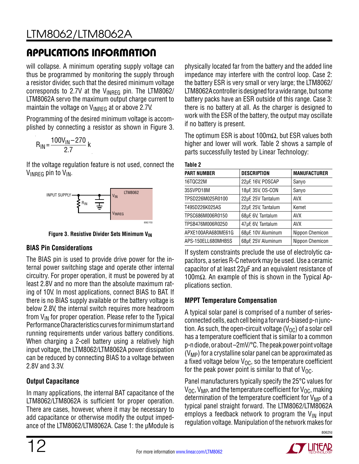will collapse. A minimum operating supply voltage can thus be programmed by monitoring the supply through a resistor divider, such that the desired minimum voltage corresponds to 2.7V at the  $V_{INRFG}$  pin. The LTM8062/ LTM8062A servo the maximum output charge current to maintain the voltage on  $V_{\text{INRFG}}$  at or above 2.7V.

Programming of the desired minimum voltage is accomplished by connecting a resistor as shown in Figure 3.

$$
R_{1N} = \frac{100V_{1N} - 270}{2.7} k
$$

If the voltage regulation feature is not used, connect the  $V_{INRFG}$  pin to  $V_{IN}$ .



**Figure 3. Resistive Divider Sets Minimum V<sub>IN</sub>** 

#### **BIAS Pin Considerations**

The BIAS pin is used to provide drive power for the internal power switching stage and operate other internal circuitry. For proper operation, it must be powered by at least 2.8V and no more than the absolute maximum rating of 10V. In most applications, connect BIAS to BAT. If there is no BIAS supply available or the battery voltage is below 2.8V, the internal switch requires more headroom from  $V_{IN}$  for proper operation. Please refer to the Typical Performance Characteristics curves for minimum start and running requirements under various battery conditions. When charging a 2-cell battery using a relatively high input voltage, the LTM8062/LTM8062A power dissipation can be reduced by connecting BIAS to a voltage between 2.8V and 3.3V.

#### **Output Capacitance**

In many applications, the internal BAT capacitance of the LTM8062/LTM8062A is sufficient for proper operation. There are cases, however, where it may be necessary to add capacitance or otherwise modify the output impedance of the LTM8062/LTM8062A. Case 1: the µModule is physically located far from the battery and the added line impedance may interfere with the control loop. Case 2: the battery ESR is very small or very large; the LTM8062/ LTM8062A controller is designed for a wide range, but some battery packs have an ESR outside of this range. Case 3: there is no battery at all. As the charger is designed to work with the ESR of the battery, the output may oscillate if no battery is present.

The optimum ESR is about 100mΩ, but ESR values both higher and lower will work. Table 2 shows a sample of parts successfully tested by Linear Technology:

| ıhı<br>и |  |
|----------|--|
|----------|--|

| <b>DESCRIPTION</b>  | <b>MANUFACTURER</b> |
|---------------------|---------------------|
| 22µF, 16V, POSCAP   | Sanyo               |
| 18µF, 35V, OS-CON   | Sanyo               |
| 22µF, 25V Tantalum  | <b>AVX</b>          |
| 22µF, 25V, Tantalum | Kemet               |
| 68µF, 6V, Tantalum  | <b>AVX</b>          |
| 47µF, 6V, Tantalum  | <b>AVX</b>          |
| 68µF, 10V Aluminum  | Nippon Chemicon     |
| 68µF, 25V Aluminum  | Nippon Chemicon     |
|                     |                     |

If system constraints preclude the use of electrolytic capacitors, a series R-C network may be used. Use a ceramic capacitor of at least 22µF and an equivalent resistance of 100m $Ω$ . An example of this is shown in the Typical Applications section.

#### **MPPT Temperature Compensation**

A typical solar panel is comprised of a number of seriesconnected cells, each cell being a forward-biased p-n junction. As such, the open-circuit voltage ( $V_{\text{OC}}$ ) of a solar cell has a temperature coefficient that is similar to a common p-n diode, or about –2mV/°C. The peak power point voltage  $(V_{MP})$  for a crystalline solar panel can be approximated as a fixed voltage below  $V_{\Omega C}$ , so the temperature coefficient for the peak power point is similar to that of  $V_{\Omega C}$ .

Panel manufacturers typically specify the 25°C values for  $V_{\text{OC}}$ ,  $V_{\text{MP}}$ , and the temperature coefficient for  $V_{\text{OC}}$ , making determination of the temperature coefficient for  $V_{MP}$  of a typical panel straight forward. The LTM8062/LTM8062A employs a feedback network to program the  $V_{\text{IN}}$  input regulation voltage. Manipulation of the network makes for

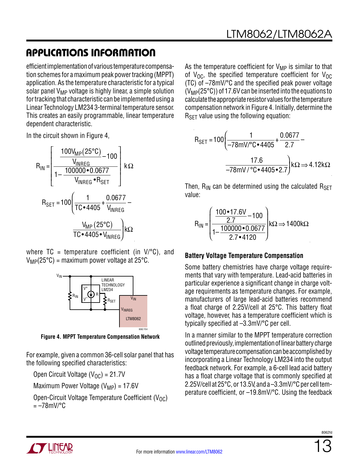efficient implementation of various temperature compensation schemes for a maximum peak power tracking (MPPT) application. As the temperature characteristic for a typical solar panel  $V_{MP}$  voltage is highly linear, a simple solution for tracking that characteristic can be implemented using a Linear Technology LM234 3-terminal temperature sensor. This creates an easily programmable, linear temperature dependent characteristic.

In the circuit shown in Figure 4,

$$
R_{IN} = \left[\frac{100V_{MP}(25^{\circ}C)}{1 - \frac{100000 \cdot 0.0677}{V_{INREG} \cdot R_{SET}}}\right] k\Omega
$$
  
\n
$$
R_{SET} = 100 \left(\frac{1}{TC \cdot 4405} + \frac{0.0677}{V_{INREG}} - \frac{V_{MP}(25^{\circ}C)}{TC \cdot 4405 \cdot V_{INREG}}\right) k\Omega
$$

where  $TC = temperature coefficient (in V)^{\circ}C$ , and  $V_{MP}(25^{\circ}C)$  = maximum power voltage at 25 $^{\circ}C$ .



**Figure 4. MPPT Temperature Compensation Network**

For example, given a common 36-cell solar panel that has the following specified characteristics:

Open Circuit Voltage ( $V_{\text{OC}}$ ) = 21.7V

Maximum Power Voltage  $(V_{MP}) = 17.6V$ 

Open-Circuit Voltage Temperature Coefficient ( $V_{\text{OC}}$ )  $=-78$ mV/°C

As the temperature coefficient for  $V_{MP}$  is similar to that of  $V_{OC}$ , the specified temperature coefficient for  $V_{OC}$ (TC) of –78mV/°C and the specified peak power voltage  $(V_{MP}(25^{\circ}C))$  of 17.6V can be inserted into the equations to calculate the appropriate resistor values for the temperature compensation network in Figure 4. Initially, determine the  $R_{\text{SFT}}$  value using the following equation:

$$
R_{\text{SET}} = 100 \left( \frac{1}{-78 \text{mV}/^{\circ}\text{C} \cdot 4405} + \frac{0.0677}{2.7} - \frac{17.6}{-78 \text{mV}/^{\circ}\text{C} \cdot 4405 \cdot 2.7} \right) \text{k}\Omega \Rightarrow 4.12 \text{k}\Omega
$$

Then,  $R_{IN}$  can be determined using the calculated  $R_{SFT}$ value:

$$
R_{IN} = \left(\frac{100 \cdot 17.6V}{2.7} - 100\right) k\Omega \Rightarrow 1400 k\Omega
$$
  

$$
1 - \frac{100000 \cdot 0.0677}{2.7 \cdot 4120}\right) k\Omega \Rightarrow 1400 k\Omega
$$

#### **Battery Voltage Temperature Compensation**

Some battery chemistries have charge voltage requirements that vary with temperature. Lead-acid batteries in particular experience a significant change in charge voltage requirements as temperature changes. For example, manufacturers of large lead-acid batteries recommend a float charge of 2.25V/cell at 25°C. This battery float voltage, however, has a temperature coefficient which is typically specified at –3.3mV/°C per cell.

In a manner similar to the MPPT temperature correction outlined previously, implementation of linear battery charge voltage temperature compensation can be accomplished by incorporating a Linear Technology LM234 into the output feedback network. For example, a 6-cell lead acid battery has a float charge voltage that is commonly specified at 2.25V/cell at 25°C, or 13.5V, and a –3.3mV/°C per cell temperature coefficient, or –19.8mV/°C. Using the feedback



8062fr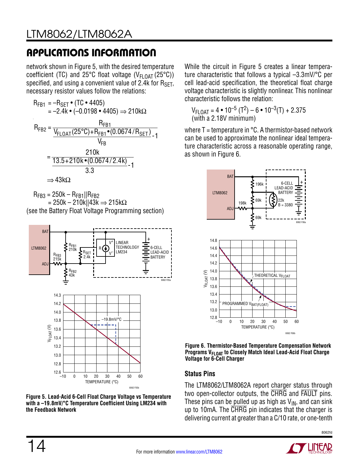network shown in Figure 5, with the desired temperature coefficient (TC) and 25°C float voltage ( $V_{FLOAT}$  (25°C)) specified, and using a convenient value of 2.4k for RSET, necessary resistor values follow the relations:



 $R_{FB3} = 250k - R_{FB1}||R_{FB2}$  $= 250k - 210k$ ||43k  $\Rightarrow$  215kΩ (see the Battery Float Voltage Programming section)





While the circuit in Figure 5 creates a linear temperature characteristic that follows a typical –3.3mV/°C per cell lead-acid specification, the theoretical float charge voltage characteristic is slightly nonlinear. This nonlinear characteristic follows the relation:

```
V_{\sf FLOAT} = 4 • 10<sup>-5</sup> (T<sup>2</sup>) – 6 • 10<sup>-3</sup>(T) + 2.375
(with a 2.18V minimum)
```
where  $T =$  temperature in  $°C$ . A thermistor-based network can be used to approximate the nonlinear ideal temperature characteristic across a reasonable operating range, as shown in Figure 6.



**Figure 6. Thermistor-Based Temperature Compensation Network Programs V<sub>FLOAT</sub> to Closely Match Ideal Lead-Acid Float Charge Voltage for 6-Cell Charger**

#### **Status Pins**

The LTM8062/LTM8062A report charger status through two open-collector outputs, the CHRG and FAULT pins. These pins can be pulled up as high as  $V_{IN}$ , and can sink up to 10mA. The CHRG pin indicates that the charger is delivering current at greater than a C/10 rate, or one-tenth

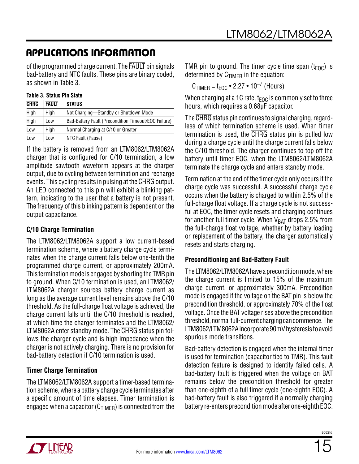of the programmed charge current. The FAULT pin signals bad-battery and NTC faults. These pins are binary coded, as shown in Table 3.

#### **Table 3. Status Pin State**

| <b>CHRG</b> | <b>FAULT</b> | <b>STATUS</b>                                        |
|-------------|--------------|------------------------------------------------------|
| High        | High         | Not Charging-Standby or Shutdown Mode                |
| High        | Low          | Bad-Battery Fault (Precondition Timeout/EOC Failure) |
| Low         | High         | Normal Charging at C/10 or Greater                   |
| Low         | Low          | NTC Fault (Pause)                                    |

If the battery is removed from an LTM8062/LTM8062A charger that is configured for C/10 termination, a low amplitude sawtooth waveform appears at the charger output, due to cycling between termination and recharge events. This cycling results in pulsing at the CHRG output. An LED connected to this pin will exhibit a blinking pattern, indicating to the user that a battery is not present. The frequency of this blinking pattern is dependent on the output capacitance.

#### **C/10 Charge Termination**

The LTM8062/LTM8062A support a low current-based termination scheme, where a battery charge cycle terminates when the charge current falls below one-tenth the programmed charge current, or approximately 200mA. This termination mode is engaged by shorting the TMR pin to ground. When C/10 termination is used, an LTM8062/ LTM8062A charger sources battery charge current as long as the average current level remains above the C/10 threshold. As the full-charge float voltage is achieved, the charge current falls until the C/10 threshold is reached, at which time the charger terminates and the LTM8062/ LTM8062A enter standby mode. The CHRG status pin follows the charger cycle and is high impedance when the charger is not actively charging. There is no provision for bad-battery detection if C/10 termination is used.

#### **Timer Charge Termination**

The LTM8062/LTM8062A support a timer-based termination scheme, where a battery charge cycle terminates after a specific amount of time elapses. Timer termination is engaged when a capacitor  $(C_{TIMER})$  is connected from the TMR pin to ground. The timer cycle time span ( $t_{\text{FOC}}$ ) is determined by  $C_{\text{TIMER}}$  in the equation:

 $C_{\text{TIMER}} = t_{\text{EOC}} \cdot 2.27 \cdot 10^{-7}$  (Hours)

When charging at a 1C rate,  $t_{\text{FOC}}$  is commonly set to three hours, which requires a 0.68μF capacitor.

The CHRG status pin continues to signal charging, regardless of which termination scheme is used. When timer termination is used, the CHRG status pin is pulled low during a charge cycle until the charge current falls below the C/10 threshold. The charger continues to top off the battery until timer EOC, when the LTM8062/LTM8062A terminate the charge cycle and enters standby mode.

Termination at the end of the timer cycle only occurs if the charge cycle was successful. A successful charge cycle occurs when the battery is charged to within 2.5% of the full-charge float voltage. If a charge cycle is not successful at EOC, the timer cycle resets and charging continues for another full timer cycle. When  $V_{BAT}$  drops 2.5% from the full-charge float voltage, whether by battery loading or replacement of the battery, the charger automatically resets and starts charging.

#### **Preconditioning and Bad-Battery Fault**

The LTM8062/LTM8062A have a precondition mode, where the charge current is limited to 15% of the maximum charge current, or approximately 300mA. Precondition mode is engaged if the voltage on the BAT pin is below the precondition threshold, or approximately 70% of the float voltage. Once the BAT voltage rises above the precondition threshold, normal full-current charging can commence. The LTM8062/LTM8062A incorporate 90mV hysteresis to avoid spurious mode transitions.

Bad-battery detection is engaged when the internal timer is used for termination (capacitor tied to TMR). This fault detection feature is designed to identify failed cells. A bad-battery fault is triggered when the voltage on BAT remains below the precondition threshold for greater than one-eighth of a full timer cycle (one-eighth EOC). A bad-battery fault is also triggered if a normally charging battery re-enters precondition mode after one-eighth EOC.



8062fr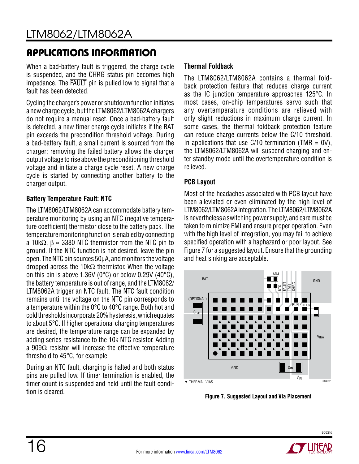When a bad-battery fault is triggered, the charge cycle is suspended, and the CHRG status pin becomes high impedance. The FAULT pin is pulled low to signal that a fault has been detected.

Cycling the charger's power or shutdown function initiates a new charge cycle, but the LTM8062/LTM8062A chargers do not require a manual reset. Once a bad-battery fault is detected, a new timer charge cycle initiates if the BAT pin exceeds the precondition threshold voltage. During a bad-battery fault, a small current is sourced from the charger; removing the failed battery allows the charger output voltage to rise above the preconditioning threshold voltage and initiate a charge cycle reset. A new charge cycle is started by connecting another battery to the charger output.

#### **Battery Temperature Fault: NTC**

The LTM8062/LTM8062A can accommodate battery temperature monitoring by using an NTC (negative temperature coefficient) thermistor close to the battery pack. The temperature monitoring function is enabled by connecting a 10k $\Omega$ ,  $\beta \approx 3380$  NTC thermistor from the NTC pin to ground. If the NTC function is not desired, leave the pin open. The NTC pin sources 50μA, and monitors the voltage dropped across the 10kΩ thermistor. When the voltage on this pin is above 1.36V (0°C) or below 0.29V (40°C), the battery temperature is out of range, and the LTM8062/ LTM8062A trigger an NTC fault. The NTC fault condition remains until the voltage on the NTC pin corresponds to a temperature within the 0°C to 40°C range. Both hot and cold thresholds incorporate 20% hysteresis, which equates to about 5°C. If higher operational charging temperatures are desired, the temperature range can be expanded by adding series resistance to the 10k NTC resistor. Adding a 909 $\Omega$  resistor will increase the effective temperature threshold to 45°C, for example.

During an NTC fault, charging is halted and both status pins are pulled low. If timer termination is enabled, the timer count is suspended and held until the fault condition is cleared.

#### **Thermal Foldback**

The LTM8062/LTM8062A contains a thermal foldback protection feature that reduces charge current as the IC junction temperature approaches 125°C. In most cases, on-chip temperatures servo such that any overtemperature conditions are relieved with only slight reductions in maximum charge current. In some cases, the thermal foldback protection feature can reduce charge currents below the C/10 threshold. In applications that use  $C/10$  termination (TMR = 0V), the LTM8062/LTM8062A will suspend charging and enter standby mode until the overtemperature condition is relieved.

#### **PCB Layout**

Most of the headaches associated with PCB layout have been alleviated or even eliminated by the high level of LTM8062/LTM8062A integration. The LTM8062/LTM8062A is nevertheless a switching power supply, and care must be taken to minimize EMI and ensure proper operation. Even with the high level of integration, you may fail to achieve specified operation with a haphazard or poor layout. See Figure 7 for a suggested layout. Ensure that the grounding and heat sinking are acceptable.

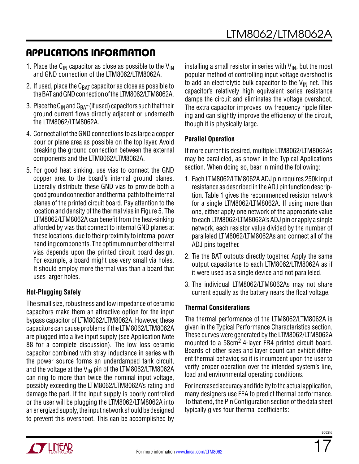- 1. Place the C<sub>IN</sub> capacitor as close as possible to the V<sub>IN</sub> and GND connection of the LTM8062/LTM8062A.
- 2. If used, place the  $C_{BAT}$  capacitor as close as possible to the BAT and GND connection of the LTM8062/LTM8062A.
- 3. Place the  $C_{IN}$  and  $C_{BAT}$  (if used) capacitors such that their ground current flows directly adjacent or underneath the LTM8062/LTM8062A.
- 4. Connect all of the GND connections to as large a copper pour or plane area as possible on the top layer. Avoid breaking the ground connection between the external components and the LTM8062/LTM8062A.
- 5. For good heat sinking, use vias to connect the GND copper area to the board's internal ground planes. Liberally distribute these GND vias to provide both a good ground connection and thermal path to the internal planes of the printed circuit board. Pay attention to the location and density of the thermal vias in Figure 5. The LTM8062/LTM8062A can benefit from the heat-sinking afforded by vias that connect to internal GND planes at these locations, due to their proximity to internal power handling components. The optimum number of thermal vias depends upon the printed circuit board design. For example, a board might use very small via holes. It should employ more thermal vias than a board that uses larger holes.

#### **Hot-Plugging Safely**

The small size, robustness and low impedance of ceramic capacitors make them an attractive option for the input bypass capacitor of LTM8062/LTM8062A. However, these capacitors can cause problems if the LTM8062/LTM8062A are plugged into a live input supply (see Application Note 88 for a complete discussion). The low loss ceramic capacitor combined with stray inductance in series with the power source forms an underdamped tank circuit, and the voltage at the  $V_{IN}$  pin of the LTM8062/LTM8062A can ring to more than twice the nominal input voltage, possibly exceeding the LTM8062/LTM8062A's rating and damage the part. If the input supply is poorly controlled or the user will be plugging the LTM8062/LTM8062A into an energized supply, the input network should be designed to prevent this overshoot. This can be accomplished by

installing a small resistor in series with  $V_{IN}$ , but the most popular method of controlling input voltage overshoot is to add an electrolytic bulk capacitor to the  $V_{IN}$  net. This capacitor's relatively high equivalent series resistance damps the circuit and eliminates the voltage overshoot. The extra capacitor improves low frequency ripple filtering and can slightly improve the efficiency of the circuit, though it is physically large.

#### **Parallel Operation**

If more current is desired, multiple LTM8062/LTM8062As may be paralleled, as shown in the Typical Applications section. When doing so, bear in mind the following:

- 1. Each LTM8062/LTM8062A ADJ pin requires 250k input resistance as described in the ADJ pin function description. Table 1 gives the recommended resistor network for a single LTM8062/LTM8062A. If using more than one, either apply one network of the appropriate value to each LTM8062/LTM8062A's ADJ pin or apply a single network, each resistor value divided by the number of paralleled LTM8062/LTM8062As and connect all of the ADJ pins together.
- 2. Tie the BAT outputs directly together. Apply the same output capacitance to each LTM8062/LTM8062A as if it were used as a single device and not paralleled.
- 3. The individual LTM8062/LTM8062As may not share current equally as the battery nears the float voltage.

#### **Thermal Considerations**

The thermal performance of the LTM8062/LTM8062A is given in the Typical Performance Characteristics section. These curves were generated by the LTM8062/LTM8062A mounted to a 58cm<sup>2</sup> 4-layer FR4 printed circuit board. Boards of other sizes and layer count can exhibit different thermal behavior, so it is incumbent upon the user to verify proper operation over the intended system's line, load and environmental operating conditions.

For increased accuracy and fidelity to the actual application, many designers use FEA to predict thermal performance. To that end, the Pin Configuration section of the data sheet typically gives four thermal coefficients:



8062fr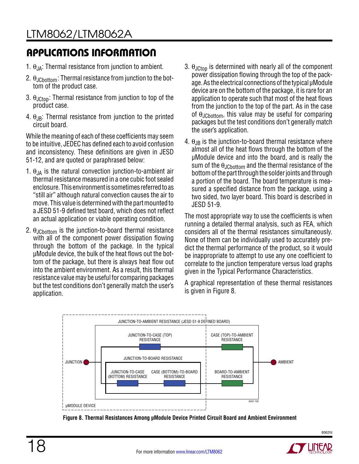- 1.  $\theta_{JA}$ : Thermal resistance from junction to ambient.
- 2.  $\theta_{JCbottom}$ : Thermal resistance from junction to the bottom of the product case.
- 3.  $\theta_{\text{JCtoo}}$ : Thermal resistance from junction to top of the product case.
- 4.  $\theta_{JB}$ : Thermal resistance from junction to the printed circuit board.

While the meaning of each of these coefficients may seem to be intuitive, JEDEC has defined each to avoid confusion and inconsistency. These definitions are given in JESD 51-12, and are quoted or paraphrased below:

- 1.  $\theta_{JA}$  is the natural convection junction-to-ambient air thermal resistance measured in a one cubic foot sealed enclosure. This environment is sometimes referred to as "still air" although natural convection causes the air to move. This value is determined with the part mounted to a JESD 51-9 defined test board, which does not reflect an actual application or viable operating condition.
- 2.  $\theta_{\text{JChottom}}$  is the junction-to-board thermal resistance with all of the component power dissipation flowing through the bottom of the package. In the typical µModule device, the bulk of the heat flows out the bottom of the package, but there is always heat flow out into the ambient environment. As a result, this thermal resistance value may be useful for comparing packages but the test conditions don't generally match the user's application.
- 3.  $\theta_{\text{JCtop}}$  is determined with nearly all of the component power dissipation flowing through the top of the package. As the electrical connections of the typical µModule device are on the bottom of the package, it is rare for an application to operate such that most of the heat flows from the junction to the top of the part. As in the case of  $\theta_{JCbottom}$ , this value may be useful for comparing packages but the test conditions don't generally match the user's application.
- 4.  $\theta_{\text{JB}}$  is the junction-to-board thermal resistance where almost all of the heat flows through the bottom of the µModule device and into the board, and is really the sum of the  $\theta_{JChottom}$  and the thermal resistance of the bottom of the part through the solder joints and through a portion of the board. The board temperature is measured a specified distance from the package, using a two sided, two layer board. This board is described in JESD 51-9.

The most appropriate way to use the coefficients is when running a detailed thermal analysis, such as FEA, which considers all of the thermal resistances simultaneously. None of them can be individually used to accurately predict the thermal performance of the product, so it would be inappropriate to attempt to use any one coefficient to correlate to the junction temperature versus load graphs given in the Typical Performance Characteristics.

A graphical representation of these thermal resistances is given in Figure 8.



**Figure 8. Thermal Resistances Among µModule Device Printed Circuit Board and Ambient Environment**

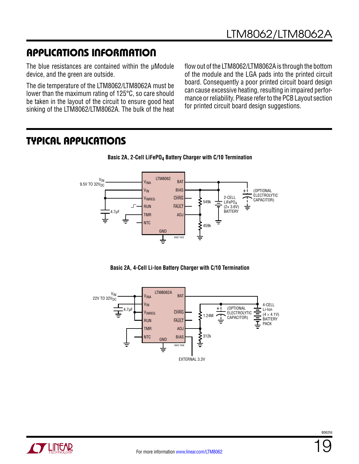The blue resistances are contained within the µModule device, and the green are outside.

The die temperature of the LTM8062/LTM8062A must be lower than the maximum rating of 125°C, so care should be taken in the layout of the circuit to ensure good heat sinking of the LTM8062/LTM8062A. The bulk of the heat

flow out of the LTM8062/LTM8062A is through the bottom of the module and the LGA pads into the printed circuit board. Consequently a poor printed circuit board design can cause excessive heating, resulting in impaired performance or reliability. Please refer to the PCB Layout section for printed circuit board design suggestions.

#### Typical Applications









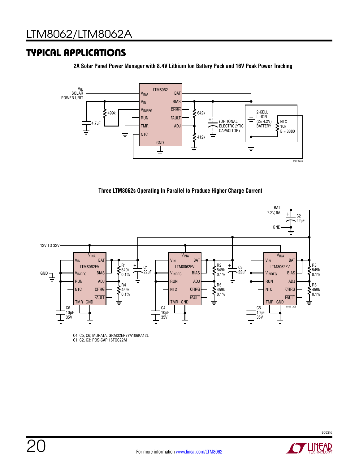### Typical Applications

**2A Solar Panel Power Manager with 8.4V Lithium Ion Battery Pack and 16V Peak Power Tracking**



**Three LTM8062s Operating In Parallel to Produce Higher Charge Current**



C4, C5, C6; MURATA, GRM32ER7YA106KA12L C1, C2, C3; POS-CAP 16TQC22M

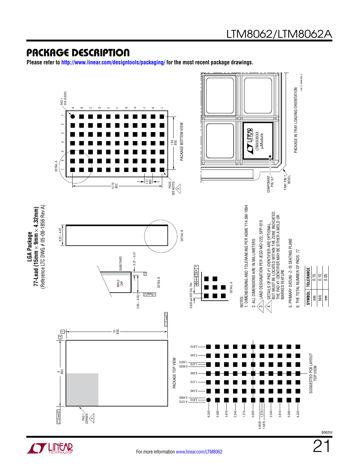#### Package Description

**Please refer to http://www.linear.com/designtools/packaging/ for the most recent package drawings.**



For more information [www.linear.com/LTM8062](http://www.linear.com/LTM8062)

**OF LINEAR**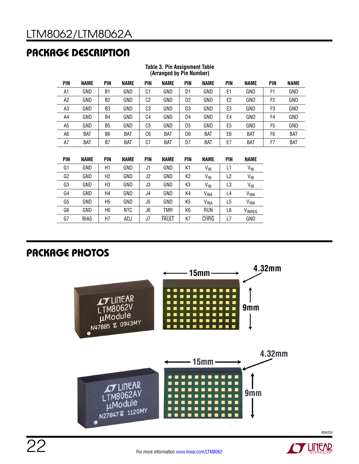# Package Description

|                | (Arranged by Pin Number) |                      |             |                |             |                |               |               |             |                |             |
|----------------|--------------------------|----------------------|-------------|----------------|-------------|----------------|---------------|---------------|-------------|----------------|-------------|
| <b>PIN</b>     | <b>NAME</b>              | <b>PIN</b>           | <b>NAME</b> | PIN            | <b>NAME</b> | PIN            | <b>NAME</b>   | <b>PIN</b>    | <b>NAME</b> | PIN            | <b>NAME</b> |
| A1             | GND                      | B1                   | GND         | C1             | GND         | D1             | GND           | E1            | GND         | F1             | GND         |
| A2             | GND                      | B <sub>2</sub>       | GND         | C <sub>2</sub> | GND         | D <sub>2</sub> | GND           | E2            | GND         | F <sub>2</sub> | GND         |
| A3             | GND                      | B3                   | GND         | C3             | GND         | D <sub>3</sub> | GND           | E3            | GND         | F3             | GND         |
| A4             | GND                      | B4                   | GND         | C4             | GND         | D4             | GND           | E4            | GND         | F4             | GND         |
| A <sub>5</sub> | GND                      | B5                   | GND         | C <sub>5</sub> | GND         | D <sub>5</sub> | GND           | E5            | GND         | F5             | GND         |
| A <sub>6</sub> | <b>BAT</b>               | B6                   | <b>BAT</b>  | C6             | <b>BAT</b>  | D <sub>6</sub> | <b>BAT</b>    | E6            | <b>BAT</b>  | F6             | <b>BAT</b>  |
| A7             | <b>BAT</b>               | B7                   | <b>BAT</b>  | C7             | <b>BAT</b>  | D7             | <b>BAT</b>    | E7            | <b>BAT</b>  | F7             | <b>BAT</b>  |
|                |                          |                      |             |                |             |                |               |               |             |                |             |
| PIN            | <b>NAME</b>              | <b>PIN</b>           | <b>NAME</b> | <b>PIN</b>     | <b>NAME</b> | PIN            | NAME          | <b>PIN</b>    | <b>NAME</b> |                |             |
|                | $- - - -$                | $\sim$ $\sim$ $\sim$ | $- - - -$   | $\sim$ $\sim$  | $- - - -$   | .              | $\sim$ $\sim$ | $\sim$ $\sim$ |             |                |             |

#### **Table 3. Pin Assignment Table (Arranged by Pin Number)**

| <b>PIN</b> | <b>NAME</b> | <b>PIN</b>     | <b>NAME</b> | <b>PIN</b> | <b>NAME</b>  | PIN | <b>NAME</b>      | <b>PIN</b>     | <b>NAME</b>            |
|------------|-------------|----------------|-------------|------------|--------------|-----|------------------|----------------|------------------------|
| G1         | GND         | H1             | GND         | J1         | GND          | K1  | V <sub>IN</sub>  | L1             | V <sub>IN</sub>        |
| G2         | GND         | H2             | GND         | J2         | GND          | K2  | VIN              | L <sub>2</sub> | V <sub>IN</sub>        |
| G3         | GND         | H3             | GND         | J3         | GND          | K3  | $V_{\text{IN}}$  | L3             | V <sub>IN</sub>        |
| G4         | GND         | H4             | GND         | J4         | GND          | K4  | VINA             | L4             | <b>VINA</b>            |
| G5         | GND         | H <sub>5</sub> | GND         | J5         | GND          | K5  | V <sub>INA</sub> | L5             | <b>V<sub>INA</sub></b> |
| G6         | GND         | H6             | <b>NTC</b>  | J6         | TMR          | K6  | <b>RUN</b>       | L6             | VINREG                 |
| G7         | <b>BIAS</b> | H7             | ADJ         | J7         | <b>FAULT</b> | K7  | <b>CHRG</b>      | L7             | GND                    |

# Package PHOTOs



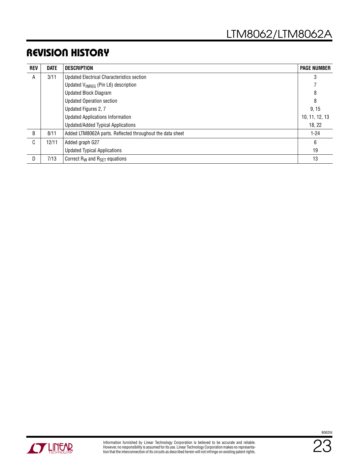### Revision History

| <b>REV</b> | <b>DATE</b> | <b>DESCRIPTION</b><br><b>PAGE NUMBER</b>                  |                |  |  |  |  |  |
|------------|-------------|-----------------------------------------------------------|----------------|--|--|--|--|--|
| A          | 3/11        | <b>Updated Electrical Characteristics section</b>         | 3              |  |  |  |  |  |
|            |             | Updated V <sub>INREG</sub> (Pin L6) description           |                |  |  |  |  |  |
|            |             | <b>Updated Block Diagram</b>                              | 8              |  |  |  |  |  |
|            |             | <b>Updated Operation section</b>                          | 8              |  |  |  |  |  |
|            |             | Updated Figures 2, 7                                      | 9, 15          |  |  |  |  |  |
|            |             | <b>Updated Applications Information</b>                   | 10, 11, 12, 13 |  |  |  |  |  |
|            |             | <b>Updated/Added Typical Applications</b>                 | 18, 22         |  |  |  |  |  |
| B          | 8/11        | Added LTM8062A parts. Reflected throughout the data sheet | $1 - 24$       |  |  |  |  |  |
| C          | 12/11       | Added graph G27                                           | 6              |  |  |  |  |  |
|            |             | <b>Updated Typical Applications</b>                       | 19             |  |  |  |  |  |
| D          | 7/13        | Correct $R_W$ and $R_{SFT}$ equations                     | 13             |  |  |  |  |  |